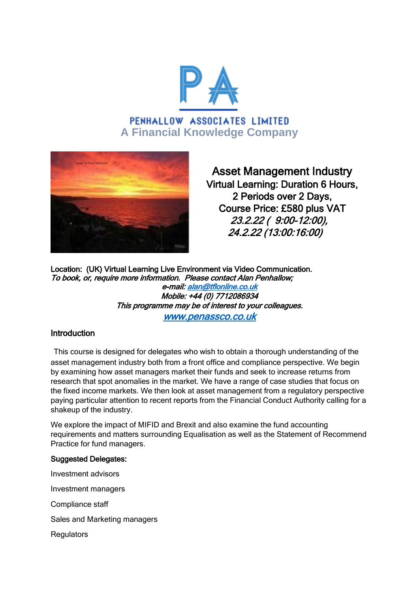

PENHALLOW ASSOCIATES LIMITED **A Financial Knowledge Company**



Asset Management Industry Virtual Learning: Duration 6 Hours, 2 Periods over 2 Days, Course Price: £580 plus VAT 23.2.22 ( 9:00-12:00), 24.2.22 (13:00:16:00)

Location: (UK) Virtual Learning Live Environment via Video Communication. To book, or, require more information. Please contact Alan Penhallow; e-mail: [alan@tflonline.co.uk](mailto:alan@tflonline.co.uk)  Mobile: +44 (0) 7712086934 This programme may be of interest to your colleagues. [www.penassco.co.uk](http://www.penassco.co.uk/)

### Introduction

 This course is designed for delegates who wish to obtain a thorough understanding of the asset management industry both from a front office and compliance perspective. We begin by examining how asset managers market their funds and seek to increase returns from research that spot anomalies in the market. We have a range of case studies that focus on the fixed income markets. We then look at asset management from a regulatory perspective paying particular attention to recent reports from the Financial Conduct Authority calling for a shakeup of the industry.

We explore the impact of MIFID and Brexit and also examine the fund accounting requirements and matters surrounding Equalisation as well as the Statement of Recommend Practice for fund managers.

#### Suggested Delegates:

Investment advisors Investment managers Compliance staff Sales and Marketing managers **Regulators**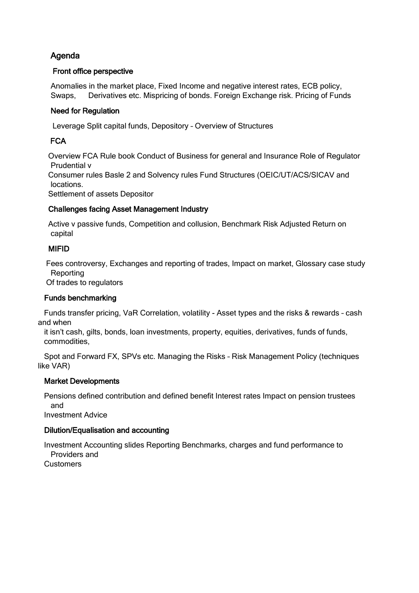# Agenda

# Front office perspective

Anomalies in the market place, Fixed Income and negative interest rates, ECB policy, Swaps, Derivatives etc. Mispricing of bonds. Foreign Exchange risk. Pricing of Funds

# Need for Regulation

Leverage Split capital funds, Depository – Overview of Structures

# **FCA**

 Overview FCA Rule book Conduct of Business for general and Insurance Role of Regulator Prudential v

 Consumer rules Basle 2 and Solvency rules Fund Structures (OEIC/UT/ACS/SICAV and locations.

Settlement of assets Depositor

### Challenges facing Asset Management Industry

 Active v passive funds, Competition and collusion, Benchmark Risk Adjusted Return on capital

# MIFID

 Fees controversy, Exchanges and reporting of trades, Impact on market, Glossary case study **Reporting** 

Of trades to regulators

# Funds benchmarking

 Funds transfer pricing, VaR Correlation, volatility - Asset types and the risks & rewards – cash and when

 it isn't cash, gilts, bonds, loan investments, property, equities, derivatives, funds of funds, commodities,

 Spot and Forward FX, SPVs etc. Managing the Risks – Risk Management Policy (techniques like VAR)

### Market Developments

 Pensions defined contribution and defined benefit Interest rates Impact on pension trustees and

Investment Advice

### Dilution/Equalisation and accounting

 Investment Accounting slides Reporting Benchmarks, charges and fund performance to Providers and **Customers**